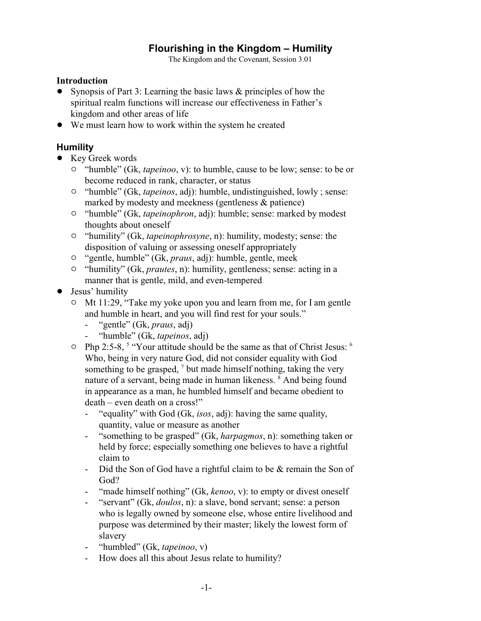## **Flourishing in the Kingdom – Humility**

The Kingdom and the Covenant, Session 3.01

## **Introduction**

- Synopsis of Part 3: Learning the basic laws & principles of how the spiritual realm functions will increase our effectiveness in Father's kingdom and other areas of life
- ! We must learn how to work within the system he created

## **Humility**

- Key Greek words
	- <sup>o</sup> "humble" (Gk, *tapeinoo*, v): to humble, cause to be low; sense: to be or become reduced in rank, character, or status
	- " "humble" (Gk, *tapeinos*, adj): humble, undistinguished, lowly ; sense: marked by modesty and meekness (gentleness & patience)
	- <sup>o</sup> "humble" (Gk, *tapeinophron*, adj): humble; sense: marked by modest thoughts about oneself
	- <sup>o</sup> "humility" (Gk, *tapeinophrosyne*, n): humility, modesty; sense: the disposition of valuing or assessing oneself appropriately
	- " "gentle, humble" (Gk, *praus*, adj): humble, gentle, meek
	- <sup>o</sup> "humility" (Gk, *prautes*, n): humility, gentleness; sense: acting in a manner that is gentle, mild, and even-tempered
- Jesus' humility
	- <sup>o</sup> Mt 11:29, "Take my yoke upon you and learn from me, for I am gentle and humble in heart, and you will find rest for your souls."
		- "gentle" (Gk, *praus*, adj)
		- "humble" (Gk, *tapeinos*, adj)
	- $\degree$  Php 2:5-8,  $\degree$  "Your attitude should be the same as that of Christ Jesus:  $\degree$ Who, being in very nature God, did not consider equality with God something to be grasped,  $\frac{7}{1}$  but made himself nothing, taking the very nature of a servant, being made in human likeness. <sup>8</sup> And being found in appearance as a man, he humbled himself and became obedient to death – even death on a cross!"
		- "equality" with God (Gk, *isos*, adj): having the same quality, quantity, value or measure as another
		- "something to be grasped" (Gk, *harpagmos*, n): something taken or held by force; especially something one believes to have a rightful claim to
		- Did the Son of God have a rightful claim to be & remain the Son of God?
		- "made himself nothing" (Gk, *kenoo*, v): to empty or divest oneself
		- "servant" (Gk, *doulos*, n): a slave, bond servant; sense: a person who is legally owned by someone else, whose entire livelihood and purpose was determined by their master; likely the lowest form of slavery
		- "humbled" (Gk, *tapeinoo*, v)
		- How does all this about Jesus relate to humility?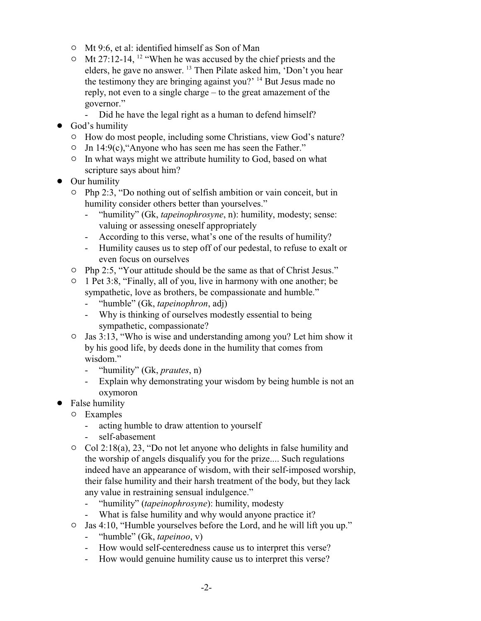- <sup>o</sup> Mt 9:6, et al: identified himself as Son of Man
- $\circ$  Mt 27:12-14, <sup>12</sup> "When he was accused by the chief priests and the elders, he gave no answer. <sup>13</sup> Then Pilate asked him, 'Don't you hear the testimony they are bringing against you?' <sup>14</sup> But Jesus made no reply, not even to a single charge – to the great amazement of the governor."
	- Did he have the legal right as a human to defend himself?
- God's humility
	- $\circ$  How do most people, including some Christians, view God's nature?
	- $\circ$  Jn 14:9(c), "Anyone who has seen me has seen the Father."
	- $\circ$  In what ways might we attribute humility to God, based on what scripture says about him?
- Our humility
	- $\circ$  Php 2:3, "Do nothing out of selfish ambition or vain conceit, but in humility consider others better than yourselves."
		- "humility" (Gk, *tapeinophrosyne*, n): humility, modesty; sense: valuing or assessing oneself appropriately
		- According to this verse, what's one of the results of humility?
		- Humility causes us to step off of our pedestal, to refuse to exalt or even focus on ourselves
	- " Php 2:5, "Your attitude should be the same as that of Christ Jesus."
	- <sup>o</sup> 1 Pet 3:8, "Finally, all of you, live in harmony with one another; be sympathetic, love as brothers, be compassionate and humble."
		- "humble" (Gk, *tapeinophron*, adj)
		- Why is thinking of ourselves modestly essential to being sympathetic, compassionate?
	- $\circ$  Jas 3:13, "Who is wise and understanding among you? Let him show it by his good life, by deeds done in the humility that comes from wisdom."
		- "humility" (Gk, *prautes*, n)
		- Explain why demonstrating your wisdom by being humble is not an oxymoron
- False humility
	- $\circ$  Examples
		- acting humble to draw attention to yourself
		- self-abasement
	- $\circ$  Col 2:18(a), 23, "Do not let anyone who delights in false humility and the worship of angels disqualify you for the prize.... Such regulations indeed have an appearance of wisdom, with their self-imposed worship, their false humility and their harsh treatment of the body, but they lack any value in restraining sensual indulgence."
		- "humility" (*tapeinophrosyne*): humility, modesty
		- What is false humility and why would anyone practice it?
	- " Jas 4:10, "Humble yourselves before the Lord, and he will lift you up."
		- "humble" (Gk, *tapeinoo*, v)
		- How would self-centeredness cause us to interpret this verse?
		- How would genuine humility cause us to interpret this verse?